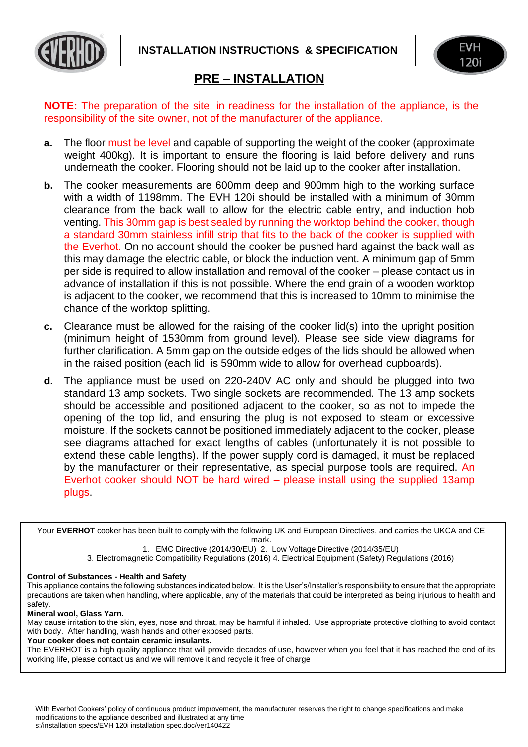**INSTALLATION INSTRUCTIONS & SPECIFICATION**





## **PRE – INSTALLATION**

**NOTE:** The preparation of the site, in readiness for the installation of the appliance, is the responsibility of the site owner, not of the manufacturer of the appliance.

- **a.** The floor must be level and capable of supporting the weight of the cooker (approximate weight 400kg). It is important to ensure the flooring is laid before delivery and runs underneath the cooker. Flooring should not be laid up to the cooker after installation.
- **b.** The cooker measurements are 600mm deep and 900mm high to the working surface with a width of 1198mm. The EVH 120i should be installed with a minimum of 30mm clearance from the back wall to allow for the electric cable entry, and induction hob venting. This 30mm gap is best sealed by running the worktop behind the cooker, though a standard 30mm stainless infill strip that fits to the back of the cooker is supplied with the Everhot. On no account should the cooker be pushed hard against the back wall as this may damage the electric cable, or block the induction vent. A minimum gap of 5mm per side is required to allow installation and removal of the cooker – please contact us in advance of installation if this is not possible. Where the end grain of a wooden worktop is adjacent to the cooker, we recommend that this is increased to 10mm to minimise the chance of the worktop splitting.
- **c.** Clearance must be allowed for the raising of the cooker lid(s) into the upright position (minimum height of 1530mm from ground level). Please see side view diagrams for further clarification. A 5mm gap on the outside edges of the lids should be allowed when in the raised position (each lid is 590mm wide to allow for overhead cupboards).
- **d.** The appliance must be used on 220-240V AC only and should be plugged into two standard 13 amp sockets. Two single sockets are recommended. The 13 amp sockets should be accessible and positioned adjacent to the cooker, so as not to impede the opening of the top lid, and ensuring the plug is not exposed to steam or excessive moisture. If the sockets cannot be positioned immediately adjacent to the cooker, please see diagrams attached for exact lengths of cables (unfortunately it is not possible to extend these cable lengths). If the power supply cord is damaged, it must be replaced by the manufacturer or their representative, as special purpose tools are required. An Everhot cooker should NOT be hard wired – please install using the supplied 13amp plugs.

Your **EVERHOT** cooker has been built to comply with the following UK and European Directives, and carries the UKCA and CE mark.

1. EMC Directive (2014/30/EU) 2. Low Voltage Directive (2014/35/EU)

3. Electromagnetic Compatibility Regulations (2016) 4. Electrical Equipment (Safety) Regulations (2016)

## **Control of Substances - Health and Safety**

This appliance contains the following substances indicated below. It is the User's/Installer's responsibility to ensure that the appropriate precautions are taken when handling, where applicable, any of the materials that could be interpreted as being injurious to health and safety.

## **Mineral wool, Glass Yarn.**

May cause irritation to the skin, eyes, nose and throat, may be harmful if inhaled. Use appropriate protective clothing to avoid contact with body. After handling, wash hands and other exposed parts.

## **Your cooker does not contain ceramic insulants.**

The EVERHOT is a high quality appliance that will provide decades of use, however when you feel that it has reached the end of its working life, please contact us and we will remove it and recycle it free of charge